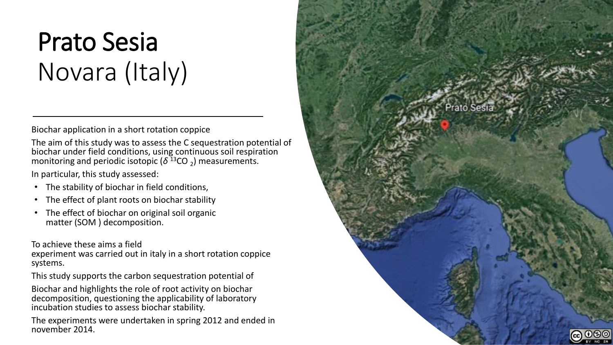# Prato Sesia Novara (Italy)

Biochar application in a short rotation coppice

The aim of this study was to assess the C sequestration potential of biochar under field conditions, using continuous soil respiration monitoring and periodic isotopic ( $\delta^{13}$ CO <sub>2</sub>) measurements.

In particular, this study assessed:

- The stability of biochar in field conditions,
- The effect of plant roots on biochar stability
- The effect of biochar on original soil organic matter (SOM ) decomposition.

To achieve these aims a field

experiment was carried out in italy in a short rotation coppice systems.

This study supports the carbon sequestration potential of

Biochar and highlights the role of root activity on biochar decomposition, questioning the applicability of laboratory incubation studies to assess biochar stability.

The experiments were undertaken in spring 2012 and ended in november 2014.

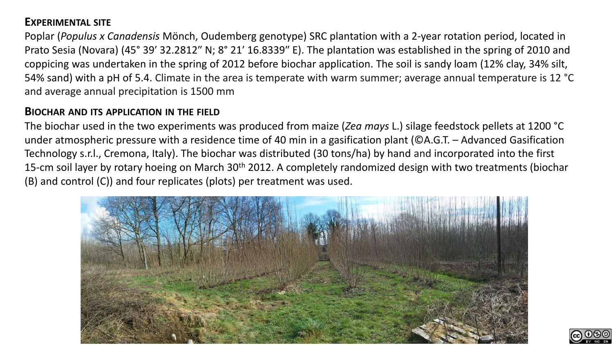### **EXPERIMENTAL SITE**

Poplar (*Populus x Canadensis* Mönch, Oudemberg genotype) SRC plantation with a 2‐year rotation period, located in Prato Sesia (Novara) (45° 39′ 32.2812″ N; 8° 21′ 16.8339″ E). The plantation was established in the spring of 2010 and coppicing was undertaken in the spring of 2012 before biochar application. The soil is sandy loam (12% clay, 34% silt, 54% sand) with a pH of 5.4. Climate in the area is temperate with warm summer; average annual temperature is 12 °C and average annual precipitation is 1500 mm

#### **BIOCHAR AND ITS APPLICATION IN THE FIELD**

The biochar used in the two experiments was produced from maize (*Zea mays* L.) silage feedstock pellets at 1200 °C under atmospheric pressure with a residence time of 40 min in a gasification plant (©A.G.T. – Advanced Gasification Technology s.r.l., Cremona, Italy). The biochar was distributed (30 tons/ha) by hand and incorporated into the first 15-cm soil layer by rotary hoeing on March 30<sup>th</sup> 2012. A completely randomized design with two treatments (biochar (B) and control (C)) and four replicates (plots) per treatment was used.



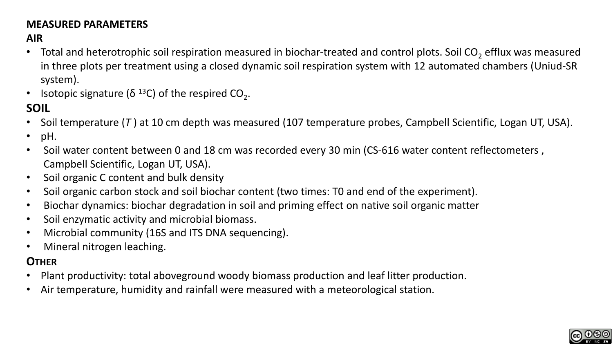#### **MEASURED PARAMETERS**

## **AIR**

- Total and heterotrophic soil respiration measured in biochar-treated and control plots. Soil CO<sub>2</sub> efflux was measured in three plots per treatment using a closed dynamic soil respiration system with 12 automated chambers (Uniud-SR system).
- Isotopic signature ( $\delta$ <sup>13</sup>C) of the respired CO<sub>2</sub>.

# **SOIL**

- Soil temperature (*T* ) at 10 cm depth was measured (107 temperature probes, Campbell Scientific, Logan UT, USA).
- pH.
- Soil water content between 0 and 18 cm was recorded every 30 min (CS-616 water content reflectometers, Campbell Scientific, Logan UT, USA).
- Soil organic C content and bulk density
- Soil organic carbon stock and soil biochar content (two times: T0 and end of the experiment).
- Biochar dynamics: biochar degradation in soil and priming effect on native soil organic matter
- Soil enzymatic activity and microbial biomass.
- Microbial community (16S and ITS DNA sequencing).
- Mineral nitrogen leaching.

## **OTHER**

- Plant productivity: total aboveground woody biomass production and leaf litter production.
- Air temperature, humidity and rainfall were measured with a meteorological station.

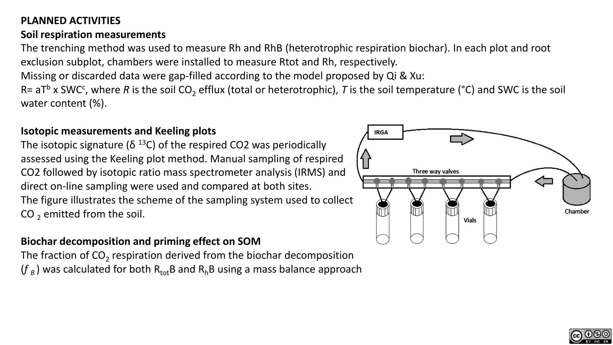## **PLANNED ACTIVITIES**

#### **Soil respiration measurements**

The trenching method was used to measure Rh and RhB (heterotrophic respiration biochar). In each plot and root exclusion subplot, chambers were installed to measure Rtot and Rh, respectively.

Missing or discarded data were gap-filled according to the model proposed by Qi & Xu:

R= aT<sup>b</sup> x SWC<sup>c</sup>, where R is the soil CO<sub>2</sub> efflux (total or heterotrophic), T is the soil temperature (°C) and SWC is the soil water content (%).

#### **Isotopic measurements and Keeling plots**

The isotopic signature ( $\delta$ <sup>13</sup>C) of the respired CO2 was periodically assessed using the Keeling plot method. Manual sampling of respired CO2 followed by isotopic ratio mass spectrometer analysis (IRMS) and direct on‐line sampling were used and compared at both sites. The figure illustrates the scheme of the sampling system used to collect CO  $_2$  emitted from the soil.

### **Biochar decomposition and priming effect on SOM**

The fraction of CO<sub>2</sub> respiration derived from the biochar decomposition  $(f_{\scriptscriptstyle B})$  was calculated for both  $\mathsf{R}_{\mathsf{tot}}\mathsf{B}$  and  $\mathsf{R}_{\mathsf{h}}\mathsf{B}$  using a mass balance approach